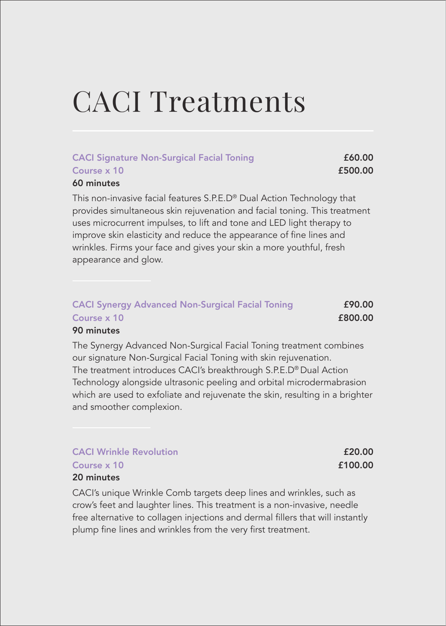## CACI Treatments

### CACI Signature Non-Surgical Facial Toning **E60.00**  $\frac{100}{500.00}$   $\frac{100}{500.00}$

#### 60 minutes

This non-invasive facial features S.P.E.D® Dual Action Technology that provides simultaneous skin rejuvenation and facial toning. This treatment uses microcurrent impulses, to lift and tone and LED light therapy to improve skin elasticity and reduce the appearance of fine lines and wrinkles. Firms your face and gives your skin a more youthful, fresh appearance and glow.

| <b>CACI Synergy Advanced Non-Surgical Facial Toning</b> | £90.00  |
|---------------------------------------------------------|---------|
| Course x 10                                             | £800.00 |
| $\sim$ $\sim$                                           |         |

#### 90 minutes

The Synergy Advanced Non-Surgical Facial Toning treatment combines our signature Non-Surgical Facial Toning with skin rejuvenation. The treatment introduces CACI's breakthrough S.P.E.D® Dual Action Technology alongside ultrasonic peeling and orbital microdermabrasion which are used to exfoliate and rejuvenate the skin, resulting in a brighter and smoother complexion.

| <b>CACI Wrinkle Revolution</b> | £20.00  |
|--------------------------------|---------|
| Course x 10                    | £100.00 |
| 20 minutes                     |         |

CACI's unique Wrinkle Comb targets deep lines and wrinkles, such as crow's feet and laughter lines. This treatment is a non-invasive, needle free alternative to collagen injections and dermal fillers that will instantly plump fine lines and wrinkles from the very first treatment.